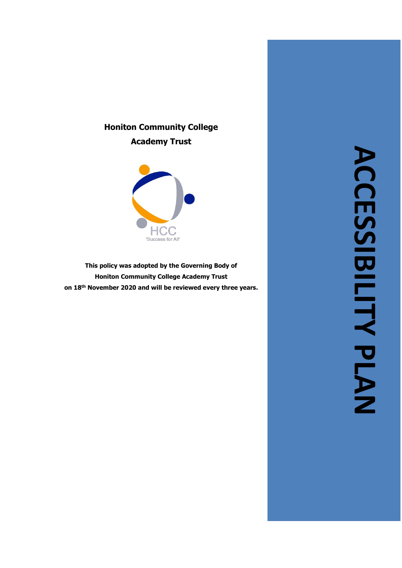# **Honiton Community College Academy Trust**



**This policy was adopted by the Governing Body of Honiton Community College Academy Trust on 18th November 2020 and will be reviewed every three years .**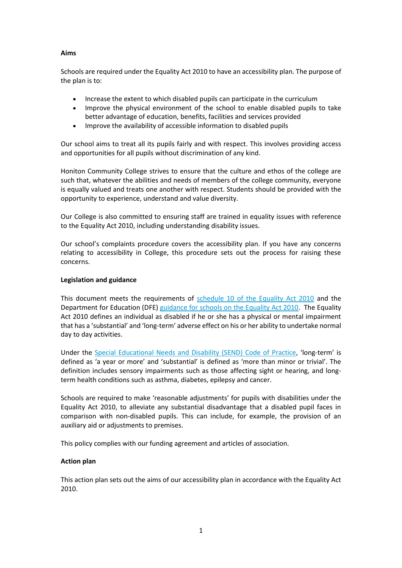## **Aims**

Schools are required under the Equality Act 2010 to have an accessibility plan. The purpose of the plan is to:

- Increase the extent to which disabled pupils can participate in the curriculum
- Improve the physical environment of the school to enable disabled pupils to take better advantage of education, benefits, facilities and services provided
- Improve the availability of accessible information to disabled pupils

Our school aims to treat all its pupils fairly and with respect. This involves providing access and opportunities for all pupils without discrimination of any kind.

Honiton Community College strives to ensure that the culture and ethos of the college are such that, whatever the abilities and needs of members of the college community, everyone is equally valued and treats one another with respect. Students should be provided with the opportunity to experience, understand and value diversity.

Our College is also committed to ensuring staff are trained in equality issues with reference to the Equality Act 2010, including understanding disability issues.

Our school's complaints procedure covers the accessibility plan. If you have any concerns relating to accessibility in College, this procedure sets out the process for raising these concerns.

#### **Legislation and guidance**

This document meets the requirements of [schedule 10 of the Equality Act 2010](http://www.legislation.gov.uk/ukpga/2010/15/schedule/10) and the Department for Education (DFE) [guidance for schools on the Equality Act 2010.](https://www.gov.uk/government/publications/equality-act-2010-advice-for-schools) The Equality Act 2010 defines an individual as disabled if he or she has a physical or mental impairment that has a 'substantial' and 'long-term' adverse effect on his or her ability to undertake normal day to day activities.

Under the [Special Educational Needs and Disability \(SEND\) Code of Practice](https://www.gov.uk/government/publications/send-code-of-practice-0-to-25), 'long-term' is defined as 'a year or more' and 'substantial' is defined as 'more than minor or trivial'. The definition includes sensory impairments such as those affecting sight or hearing, and longterm health conditions such as asthma, diabetes, epilepsy and cancer.

Schools are required to make 'reasonable adjustments' for pupils with disabilities under the Equality Act 2010, to alleviate any substantial disadvantage that a disabled pupil faces in comparison with non-disabled pupils. This can include, for example, the provision of an auxiliary aid or adjustments to premises.

This policy complies with our funding agreement and articles of association.

## **Action plan**

This action plan sets out the aims of our accessibility plan in accordance with the Equality Act 2010.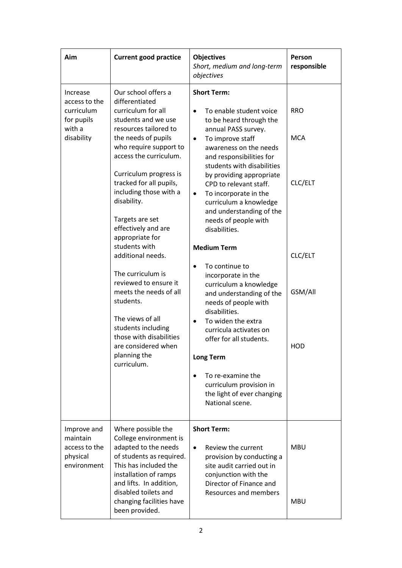| Aim                                                                           | <b>Current good practice</b>                                                                                                                                                                                                                                                                                                                                                                                                                                                                                                                                                                            | <b>Objectives</b><br>Short, medium and long-term<br>objectives                                                                                                                                                                                                                                                                                                                                                                                                                                                                                                                                                                                                                                                                                                                                         | Person<br>responsible                                            |
|-------------------------------------------------------------------------------|---------------------------------------------------------------------------------------------------------------------------------------------------------------------------------------------------------------------------------------------------------------------------------------------------------------------------------------------------------------------------------------------------------------------------------------------------------------------------------------------------------------------------------------------------------------------------------------------------------|--------------------------------------------------------------------------------------------------------------------------------------------------------------------------------------------------------------------------------------------------------------------------------------------------------------------------------------------------------------------------------------------------------------------------------------------------------------------------------------------------------------------------------------------------------------------------------------------------------------------------------------------------------------------------------------------------------------------------------------------------------------------------------------------------------|------------------------------------------------------------------|
| Increase<br>access to the<br>curriculum<br>for pupils<br>with a<br>disability | Our school offers a<br>differentiated<br>curriculum for all<br>students and we use<br>resources tailored to<br>the needs of pupils<br>who require support to<br>access the curriculum.<br>Curriculum progress is<br>tracked for all pupils,<br>including those with a<br>disability.<br>Targets are set<br>effectively and are<br>appropriate for<br>students with<br>additional needs.<br>The curriculum is<br>reviewed to ensure it<br>meets the needs of all<br>students.<br>The views of all<br>students including<br>those with disabilities<br>are considered when<br>planning the<br>curriculum. | <b>Short Term:</b><br>To enable student voice<br>$\bullet$<br>to be heard through the<br>annual PASS survey.<br>To improve staff<br>$\bullet$<br>awareness on the needs<br>and responsibilities for<br>students with disabilities<br>by providing appropriate<br>CPD to relevant staff.<br>To incorporate in the<br>$\bullet$<br>curriculum a knowledge<br>and understanding of the<br>needs of people with<br>disabilities.<br><b>Medium Term</b><br>To continue to<br>incorporate in the<br>curriculum a knowledge<br>and understanding of the<br>needs of people with<br>disabilities.<br>To widen the extra<br>$\bullet$<br>curricula activates on<br>offer for all students.<br><b>Long Term</b><br>To re-examine the<br>curriculum provision in<br>the light of ever changing<br>National scene. | <b>RRO</b><br><b>MCA</b><br>CLC/ELT<br>CLC/ELT<br>GSM/All<br>HOD |
| Improve and<br>maintain<br>access to the<br>physical<br>environment           | Where possible the<br>College environment is<br>adapted to the needs<br>of students as required.<br>This has included the<br>installation of ramps<br>and lifts. In addition,<br>disabled toilets and<br>changing facilities have<br>been provided.                                                                                                                                                                                                                                                                                                                                                     | <b>Short Term:</b><br>Review the current<br>$\bullet$<br>provision by conducting a<br>site audit carried out in<br>conjunction with the<br>Director of Finance and<br><b>Resources and members</b>                                                                                                                                                                                                                                                                                                                                                                                                                                                                                                                                                                                                     | <b>MBU</b><br><b>MBU</b>                                         |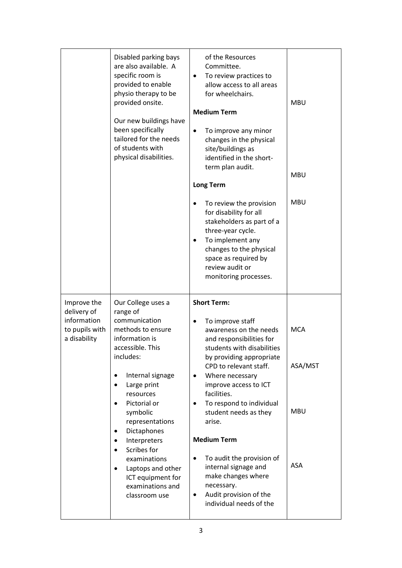|                                                                             | Disabled parking bays<br>are also available. A<br>specific room is<br>provided to enable<br>physio therapy to be<br>provided onsite.<br>Our new buildings have<br>been specifically<br>tailored for the needs<br>of students with<br>physical disabilities.                                                                                                                                  | of the Resources<br>Committee.<br>To review practices to<br>$\bullet$<br>allow access to all areas<br>for wheelchairs.<br><b>Medium Term</b><br>To improve any minor<br>changes in the physical<br>site/buildings as<br>identified in the short-<br>term plan audit.<br><b>Long Term</b>                                                                                                                | <b>MBU</b><br><b>MBU</b>                          |
|-----------------------------------------------------------------------------|----------------------------------------------------------------------------------------------------------------------------------------------------------------------------------------------------------------------------------------------------------------------------------------------------------------------------------------------------------------------------------------------|---------------------------------------------------------------------------------------------------------------------------------------------------------------------------------------------------------------------------------------------------------------------------------------------------------------------------------------------------------------------------------------------------------|---------------------------------------------------|
|                                                                             |                                                                                                                                                                                                                                                                                                                                                                                              | To review the provision<br>for disability for all<br>stakeholders as part of a<br>three-year cycle.<br>To implement any<br>changes to the physical<br>space as required by<br>review audit or<br>monitoring processes.                                                                                                                                                                                  | <b>MBU</b>                                        |
| Improve the<br>delivery of<br>information<br>to pupils with<br>a disability | Our College uses a<br>range of<br>communication<br>methods to ensure<br>information is<br>accessible. This<br>includes:<br>Internal signage<br>$\bullet$<br>Large print<br>$\bullet$<br>resources<br>Pictorial or<br>$\bullet$<br>symbolic<br>representations<br>Dictaphones<br>$\bullet$<br>Interpreters<br>٠<br>Scribes for<br>$\bullet$<br>examinations<br>Laptops and other<br>$\bullet$ | <b>Short Term:</b><br>To improve staff<br>awareness on the needs<br>and responsibilities for<br>students with disabilities<br>by providing appropriate<br>CPD to relevant staff.<br>Where necessary<br>$\bullet$<br>improve access to ICT<br>facilities.<br>To respond to individual<br>٠<br>student needs as they<br>arise.<br><b>Medium Term</b><br>To audit the provision of<br>internal signage and | <b>MCA</b><br>ASA/MST<br><b>MBU</b><br><b>ASA</b> |
|                                                                             | ICT equipment for<br>examinations and<br>classroom use                                                                                                                                                                                                                                                                                                                                       | make changes where<br>necessary.<br>Audit provision of the<br>٠<br>individual needs of the                                                                                                                                                                                                                                                                                                              |                                                   |